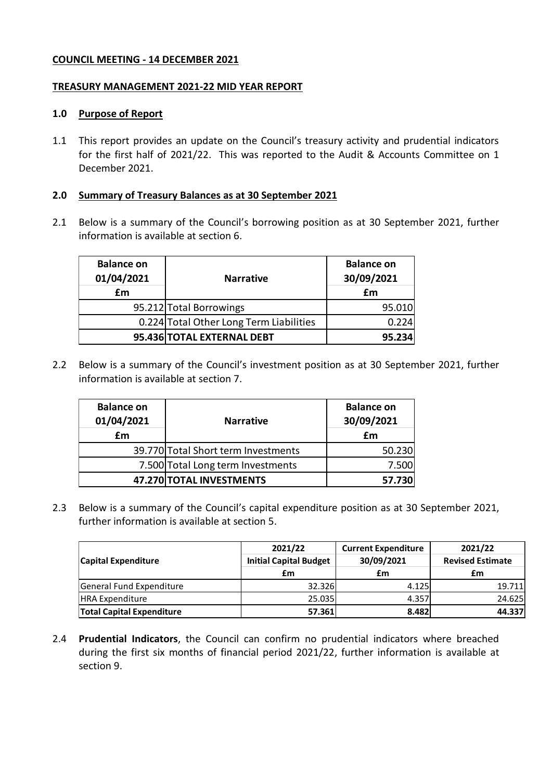#### **COUNCIL MEETING - 14 DECEMBER 2021**

#### **TREASURY MANAGEMENT 2021-22 MID YEAR REPORT**

#### **1.0 Purpose of Report**

1.1 This report provides an update on the Council's treasury activity and prudential indicators for the first half of 2021/22. This was reported to the Audit & Accounts Committee on 1 December 2021.

#### **2.0 Summary of Treasury Balances as at 30 September 2021**

2.1 Below is a summary of the Council's borrowing position as at 30 September 2021, further information is available at section 6.

| <b>Balance on</b><br>01/04/2021<br>£m | <b>Narrative</b>                        | <b>Balance on</b><br>30/09/2021<br>£m |  |
|---------------------------------------|-----------------------------------------|---------------------------------------|--|
|                                       | 95.212 Total Borrowings                 | 95.010                                |  |
|                                       | 0.224 Total Other Long Term Liabilities | 0.224                                 |  |
|                                       | 95.436 TOTAL EXTERNAL DEBT              | 95.234                                |  |

2.2 Below is a summary of the Council's investment position as at 30 September 2021, further information is available at section 7.

| <b>Balance on</b><br>01/04/2021 | <b>Narrative</b>                    | <b>Balance on</b><br>30/09/2021 |  |
|---------------------------------|-------------------------------------|---------------------------------|--|
| £m                              |                                     | £m                              |  |
|                                 | 39.770 Total Short term Investments | 50.230                          |  |
|                                 | 7.500 Total Long term Investments   | 7.500                           |  |
|                                 | 47.270 TOTAL INVESTMENTS            | 57.730                          |  |

2.3 Below is a summary of the Council's capital expenditure position as at 30 September 2021, further information is available at section 5.

|                                  | 2021/22                       | <b>Current Expenditure</b> | 2021/22<br><b>Revised Estimate</b> |  |
|----------------------------------|-------------------------------|----------------------------|------------------------------------|--|
| <b>Capital Expenditure</b>       | <b>Initial Capital Budget</b> | 30/09/2021                 |                                    |  |
|                                  | £m                            | £m                         | £m                                 |  |
| General Fund Expenditure         | 32.326                        | 4.125                      | 19.711                             |  |
| <b>HRA Expenditure</b>           | 25.035                        | 4.357                      | 24.625                             |  |
| <b>Total Capital Expenditure</b> | 57.361                        | 8.482                      | 44.337                             |  |

2.4 **Prudential Indicators**, the Council can confirm no prudential indicators where breached during the first six months of financial period 2021/22, further information is available at section 9.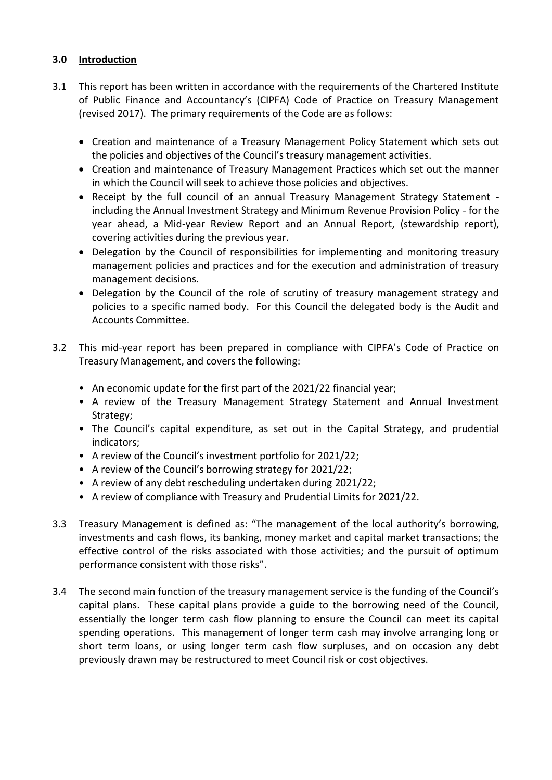# **3.0 Introduction**

- 3.1 This report has been written in accordance with the requirements of the Chartered Institute of Public Finance and Accountancy's (CIPFA) Code of Practice on Treasury Management (revised 2017). The primary requirements of the Code are as follows:
	- Creation and maintenance of a Treasury Management Policy Statement which sets out the policies and objectives of the Council's treasury management activities.
	- Creation and maintenance of Treasury Management Practices which set out the manner in which the Council will seek to achieve those policies and objectives.
	- Receipt by the full council of an annual Treasury Management Strategy Statement including the Annual Investment Strategy and Minimum Revenue Provision Policy - for the year ahead, a Mid-year Review Report and an Annual Report, (stewardship report), covering activities during the previous year.
	- Delegation by the Council of responsibilities for implementing and monitoring treasury management policies and practices and for the execution and administration of treasury management decisions.
	- Delegation by the Council of the role of scrutiny of treasury management strategy and policies to a specific named body. For this Council the delegated body is the Audit and Accounts Committee.
- 3.2 This mid-year report has been prepared in compliance with CIPFA's Code of Practice on Treasury Management, and covers the following:
	- An economic update for the first part of the 2021/22 financial year;
	- A review of the Treasury Management Strategy Statement and Annual Investment Strategy;
	- The Council's capital expenditure, as set out in the Capital Strategy, and prudential indicators;
	- A review of the Council's investment portfolio for 2021/22;
	- A review of the Council's borrowing strategy for 2021/22;
	- A review of any debt rescheduling undertaken during 2021/22;
	- A review of compliance with Treasury and Prudential Limits for 2021/22.
- 3.3 Treasury Management is defined as: "The management of the local authority's borrowing, investments and cash flows, its banking, money market and capital market transactions; the effective control of the risks associated with those activities; and the pursuit of optimum performance consistent with those risks".
- 3.4 The second main function of the treasury management service is the funding of the Council's capital plans. These capital plans provide a guide to the borrowing need of the Council, essentially the longer term cash flow planning to ensure the Council can meet its capital spending operations. This management of longer term cash may involve arranging long or short term loans, or using longer term cash flow surpluses, and on occasion any debt previously drawn may be restructured to meet Council risk or cost objectives.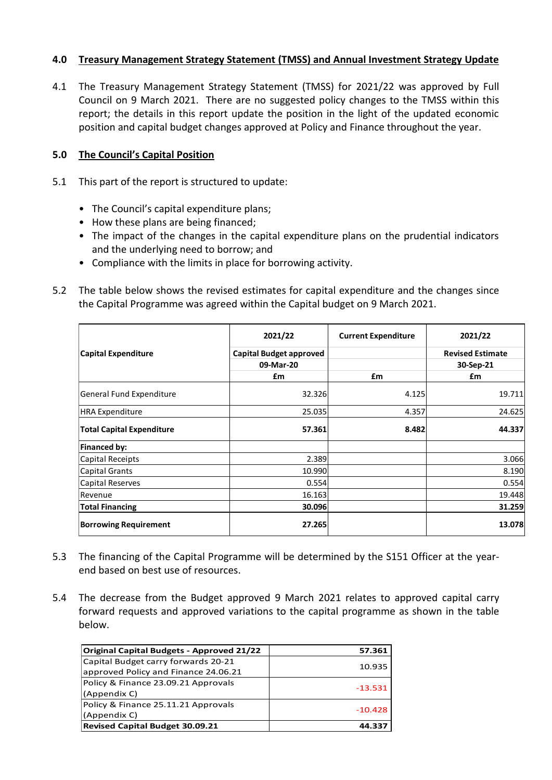### **4.0 Treasury Management Strategy Statement (TMSS) and Annual Investment Strategy Update**

4.1 The Treasury Management Strategy Statement (TMSS) for 2021/22 was approved by Full Council on 9 March 2021. There are no suggested policy changes to the TMSS within this report; the details in this report update the position in the light of the updated economic position and capital budget changes approved at Policy and Finance throughout the year.

### **5.0 The Council's Capital Position**

- 5.1 This part of the report is structured to update:
	- The Council's capital expenditure plans;
	- How these plans are being financed;
	- The impact of the changes in the capital expenditure plans on the prudential indicators and the underlying need to borrow; and
	- Compliance with the limits in place for borrowing activity.
- 5.2 The table below shows the revised estimates for capital expenditure and the changes since the Capital Programme was agreed within the Capital budget on 9 March 2021.

|                                  | 2021/22                        | <b>Current Expenditure</b> | 2021/22                 |
|----------------------------------|--------------------------------|----------------------------|-------------------------|
| <b>Capital Expenditure</b>       | <b>Capital Budget approved</b> |                            | <b>Revised Estimate</b> |
|                                  | 09-Mar-20                      |                            | 30-Sep-21               |
|                                  | £m                             | £m                         | £m                      |
| General Fund Expenditure         | 32.326                         | 4.125                      | 19.711                  |
| <b>HRA Expenditure</b>           | 25.035                         | 4.357                      | 24.625                  |
| <b>Total Capital Expenditure</b> | 57.361                         | 8.482                      | 44.337                  |
| Financed by:                     |                                |                            |                         |
| Capital Receipts                 | 2.389                          |                            | 3.066                   |
| <b>Capital Grants</b>            | 10.990                         |                            | 8.190                   |
| <b>Capital Reserves</b>          | 0.554                          |                            | 0.554                   |
| Revenue                          | 16.163                         |                            | 19.448                  |
| <b>Total Financing</b>           | 30.096                         |                            | 31.259                  |
| <b>Borrowing Requirement</b>     | 27.265                         |                            | 13.078                  |

- 5.3 The financing of the Capital Programme will be determined by the S151 Officer at the yearend based on best use of resources.
- 5.4 The decrease from the Budget approved 9 March 2021 relates to approved capital carry forward requests and approved variations to the capital programme as shown in the table below.

| <b>Original Capital Budgets - Approved 21/22</b> | 57.361    |
|--------------------------------------------------|-----------|
| Capital Budget carry forwards 20-21              | 10.935    |
| approved Policy and Finance 24.06.21             |           |
| Policy & Finance 23.09.21 Approvals              | $-13.531$ |
| (Appendix C)                                     |           |
| Policy & Finance 25.11.21 Approvals              |           |
| (Appendix C)                                     | $-10.428$ |
| <b>Revised Capital Budget 30.09.21</b>           | 44.337    |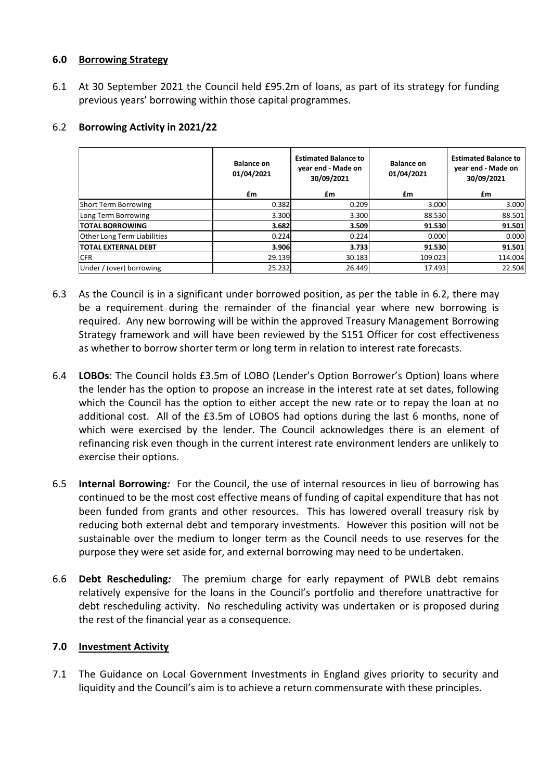### **6.0 Borrowing Strategy**

6.1 At 30 September 2021 the Council held £95.2m of loans, as part of its strategy for funding previous years' borrowing within those capital programmes.

|                             | <b>Balance on</b><br>01/04/2021 | <b>Estimated Balance to</b><br>year end - Made on<br>30/09/2021 | <b>Balance on</b><br>01/04/2021 | <b>Estimated Balance to</b><br>year end - Made on<br>30/09/2021 |
|-----------------------------|---------------------------------|-----------------------------------------------------------------|---------------------------------|-----------------------------------------------------------------|
|                             | £m                              | £m                                                              | £m                              | £m                                                              |
| Short Term Borrowing        | 0.382                           | 0.209                                                           | 3.000                           | 3.000                                                           |
| Long Term Borrowing         | 3.300                           | 3.300                                                           | 88.530                          | 88.501                                                          |
| <b>TOTAL BORROWING</b>      | 3.682                           | 3.509                                                           | 91.530                          | 91.501                                                          |
| Other Long Term Liabilities | 0.224                           | 0.224                                                           | 0.000                           | 0.000                                                           |
| <b>TOTAL EXTERNAL DEBT</b>  | 3.906                           | 3.733                                                           | 91.530                          | 91.501                                                          |
| <b>CFR</b>                  | 29.139                          | 30.183                                                          | 109.023                         | 114.004                                                         |
| Under / (over) borrowing    | 25.232                          | 26.449                                                          | 17.493                          | 22.504                                                          |

# 6.2 **Borrowing Activity in 2021/22**

- 6.3 As the Council is in a significant under borrowed position, as per the table in 6.2, there may be a requirement during the remainder of the financial year where new borrowing is required. Any new borrowing will be within the approved Treasury Management Borrowing Strategy framework and will have been reviewed by the S151 Officer for cost effectiveness as whether to borrow shorter term or long term in relation to interest rate forecasts.
- 6.4 **LOBOs**: The Council holds £3.5m of LOBO (Lender's Option Borrower's Option) loans where the lender has the option to propose an increase in the interest rate at set dates, following which the Council has the option to either accept the new rate or to repay the loan at no additional cost. All of the £3.5m of LOBOS had options during the last 6 months, none of which were exercised by the lender. The Council acknowledges there is an element of refinancing risk even though in the current interest rate environment lenders are unlikely to exercise their options.
- 6.5 **Internal Borrowing***:* For the Council, the use of internal resources in lieu of borrowing has continued to be the most cost effective means of funding of capital expenditure that has not been funded from grants and other resources. This has lowered overall treasury risk by reducing both external debt and temporary investments. However this position will not be sustainable over the medium to longer term as the Council needs to use reserves for the purpose they were set aside for, and external borrowing may need to be undertaken.
- 6.6 **Debt Rescheduling***:* The premium charge for early repayment of PWLB debt remains relatively expensive for the loans in the Council's portfolio and therefore unattractive for debt rescheduling activity. No rescheduling activity was undertaken or is proposed during the rest of the financial year as a consequence.

# **7.0 Investment Activity**

7.1 The Guidance on Local Government Investments in England gives priority to security and liquidity and the Council's aim is to achieve a return commensurate with these principles.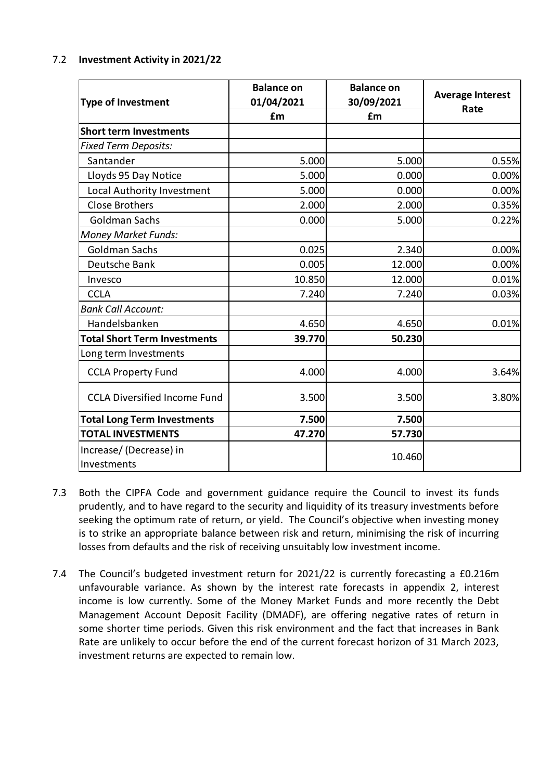### 7.2 **Investment Activity in 2021/22**

| <b>Type of Investment</b>           | <b>Balance on</b><br>01/04/2021 | <b>Balance on</b><br>30/09/2021 | <b>Average Interest</b><br>Rate |  |
|-------------------------------------|---------------------------------|---------------------------------|---------------------------------|--|
|                                     | £m                              | £m                              |                                 |  |
| <b>Short term Investments</b>       |                                 |                                 |                                 |  |
| <b>Fixed Term Deposits:</b>         |                                 |                                 |                                 |  |
| Santander                           | 5.000                           | 5.000                           | 0.55%                           |  |
| Lloyds 95 Day Notice                | 5.000                           | 0.000                           | 0.00%                           |  |
| Local Authority Investment          | 5.000                           | 0.000                           | 0.00%                           |  |
| <b>Close Brothers</b>               | 2.000                           | 2.000                           | 0.35%                           |  |
| <b>Goldman Sachs</b>                | 0.000                           | 5.000                           | 0.22%                           |  |
| <b>Money Market Funds:</b>          |                                 |                                 |                                 |  |
| <b>Goldman Sachs</b>                | 0.025                           | 2.340                           | 0.00%                           |  |
| Deutsche Bank                       | 0.005                           | 12.000                          | 0.00%                           |  |
| Invesco                             | 10.850                          | 12.000                          | 0.01%                           |  |
| <b>CCLA</b>                         | 7.240                           | 7.240                           | 0.03%                           |  |
| <b>Bank Call Account:</b>           |                                 |                                 |                                 |  |
| Handelsbanken                       | 4.650                           | 4.650                           | 0.01%                           |  |
| <b>Total Short Term Investments</b> | 39.770                          | 50.230                          |                                 |  |
| Long term Investments               |                                 |                                 |                                 |  |
| <b>CCLA Property Fund</b>           | 4.000                           | 4.000                           | 3.64%                           |  |
| <b>CCLA Diversified Income Fund</b> | 3.500                           | 3.500                           | 3.80%                           |  |
| <b>Total Long Term Investments</b>  | 7.500                           | 7.500                           |                                 |  |
| <b>TOTAL INVESTMENTS</b>            | 47.270                          | 57.730                          |                                 |  |
| Increase/(Decrease) in              |                                 | 10.460                          |                                 |  |
| Investments                         |                                 |                                 |                                 |  |

- 7.3 Both the CIPFA Code and government guidance require the Council to invest its funds prudently, and to have regard to the security and liquidity of its treasury investments before seeking the optimum rate of return, or yield. The Council's objective when investing money is to strike an appropriate balance between risk and return, minimising the risk of incurring losses from defaults and the risk of receiving unsuitably low investment income.
- 7.4 The Council's budgeted investment return for 2021/22 is currently forecasting a £0.216m unfavourable variance. As shown by the interest rate forecasts in appendix 2, interest income is low currently. Some of the Money Market Funds and more recently the Debt Management Account Deposit Facility (DMADF), are offering negative rates of return in some shorter time periods. Given this risk environment and the fact that increases in Bank Rate are unlikely to occur before the end of the current forecast horizon of 31 March 2023, investment returns are expected to remain low.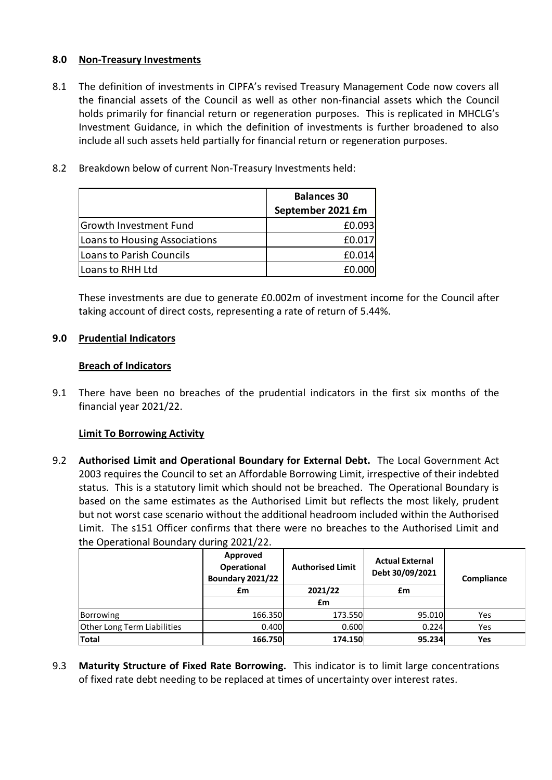### **8.0 Non-Treasury Investments**

- 8.1 The definition of investments in CIPFA's revised Treasury Management Code now covers all the financial assets of the Council as well as other non-financial assets which the Council holds primarily for financial return or regeneration purposes. This is replicated in MHCLG's Investment Guidance, in which the definition of investments is further broadened to also include all such assets held partially for financial return or regeneration purposes.
- 8.2 Breakdown below of current Non-Treasury Investments held:

|                                      | <b>Balances 30</b> |
|--------------------------------------|--------------------|
|                                      | September 2021 £m  |
| Growth Investment Fund               | £0.093             |
| <b>Loans to Housing Associations</b> | £0.017             |
| Loans to Parish Councils             | £0.014             |
| Loans to RHH Ltd                     |                    |

These investments are due to generate £0.002m of investment income for the Council after taking account of direct costs, representing a rate of return of 5.44%.

# **9.0 Prudential Indicators**

# **Breach of Indicators**

9.1 There have been no breaches of the prudential indicators in the first six months of the financial year 2021/22.

# **Limit To Borrowing Activity**

9.2 **Authorised Limit and Operational Boundary for External Debt.** The Local Government Act 2003 requires the Council to set an Affordable Borrowing Limit, irrespective of their indebted status. This is a statutory limit which should not be breached. The Operational Boundary is based on the same estimates as the Authorised Limit but reflects the most likely, prudent but not worst case scenario without the additional headroom included within the Authorised Limit. The s151 Officer confirms that there were no breaches to the Authorised Limit and the Operational Boundary during 2021/22.

|                                    | Approved<br>Operational<br><b>Boundary 2021/22</b><br>£m | <b>Authorised Limit</b><br>2021/22<br>£m | <b>Actual External</b><br>Debt 30/09/2021<br>£m | Compliance |
|------------------------------------|----------------------------------------------------------|------------------------------------------|-------------------------------------------------|------------|
| Borrowing                          | 166.350                                                  | 173.550                                  | 95.010                                          | Yes        |
| <b>Other Long Term Liabilities</b> | 0.400                                                    | 0.600                                    | 0.224                                           | Yes        |
| <b>Total</b>                       | 166.750                                                  | 174.150                                  | 95.234                                          | Yes        |

9.3 **Maturity Structure of Fixed Rate Borrowing.** This indicator is to limit large concentrations of fixed rate debt needing to be replaced at times of uncertainty over interest rates.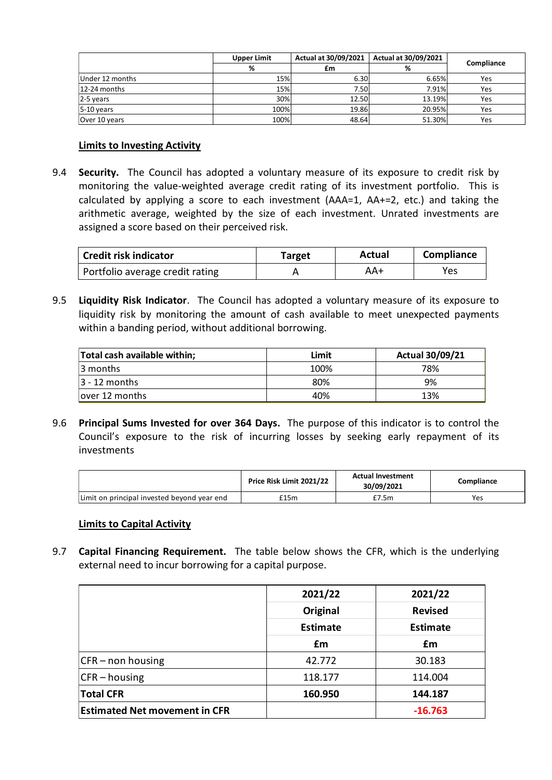|                 | Upper Limit | Actual at 30/09/2021 | Actual at 30/09/2021 |            |
|-----------------|-------------|----------------------|----------------------|------------|
|                 | %           | £m                   | %                    | Compliance |
| Under 12 months | 15%         | 6.30                 | 6.65%                | Yes        |
| 12-24 months    | 15%         | 7.50                 | 7.91%                | Yes        |
| 2-5 years       | 30%         | 12.50                | 13.19%               | Yes        |
| $5-10$ years    | 100%        | 19.86                | 20.95%               | Yes        |
| Over 10 years   | 100%        | 48.64                | 51.30%               | Yes        |

### **Limits to Investing Activity**

9.4 **Security.** The Council has adopted a voluntary measure of its exposure to credit risk by monitoring the value-weighted average credit rating of its investment portfolio. This is calculated by applying a score to each investment (AAA=1, AA+=2, etc.) and taking the arithmetic average, weighted by the size of each investment. Unrated investments are assigned a score based on their perceived risk.

| <b>Credit risk indicator</b>    | <b>Target</b> | Actual | Compliance |
|---------------------------------|---------------|--------|------------|
| Portfolio average credit rating |               | AA+    | Yes.       |

9.5 **Liquidity Risk Indicator**. The Council has adopted a voluntary measure of its exposure to liquidity risk by monitoring the amount of cash available to meet unexpected payments within a banding period, without additional borrowing.

| Total cash available within; | Limit | <b>Actual 30/09/21</b> |
|------------------------------|-------|------------------------|
| 13 months                    | 100%  | 78%                    |
| $ 3 - 12$ months             | 80%   | 9%                     |
| lover 12 months              | 40%   | 13%                    |

9.6 **Principal Sums Invested for over 364 Days.** The purpose of this indicator is to control the Council's exposure to the risk of incurring losses by seeking early repayment of its investments

|                                             | <b>Actual Investment</b><br>Price Risk Limit 2021/22<br>30/09/2021 |       | Compliance |  |
|---------------------------------------------|--------------------------------------------------------------------|-------|------------|--|
| Limit on principal invested beyond year end | £15m                                                               | £7.5m | Yes        |  |

### **Limits to Capital Activity**

9.7 **Capital Financing Requirement.** The table below shows the CFR, which is the underlying external need to incur borrowing for a capital purpose.

|                                      | 2021/22         | 2021/22<br><b>Revised</b> |  |  |
|--------------------------------------|-----------------|---------------------------|--|--|
|                                      | Original        |                           |  |  |
|                                      | <b>Estimate</b> | <b>Estimate</b>           |  |  |
|                                      | £m              | £m                        |  |  |
| $CFR$ – non housing                  | 42.772          | 30.183                    |  |  |
| $CFR - housing$                      | 118.177         | 114.004                   |  |  |
| <b>Total CFR</b>                     | 160.950         | 144.187                   |  |  |
| <b>Estimated Net movement in CFR</b> |                 | $-16.763$                 |  |  |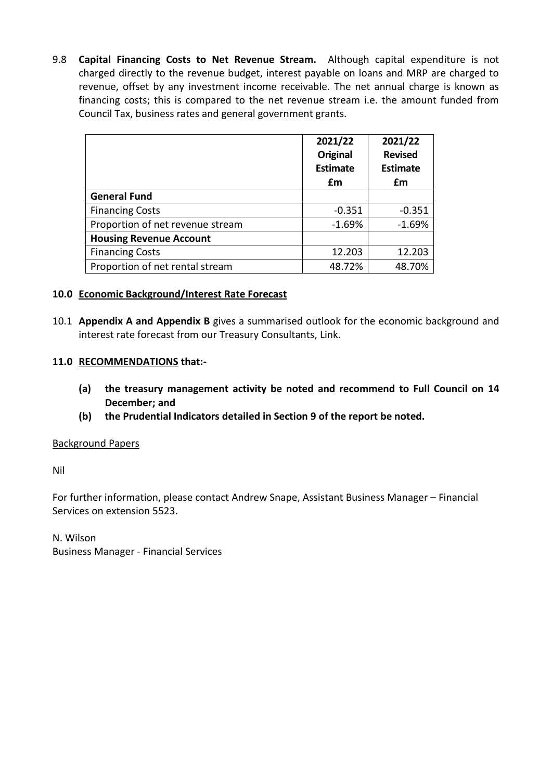9.8 **Capital Financing Costs to Net Revenue Stream.** Although capital expenditure is not charged directly to the revenue budget, interest payable on loans and MRP are charged to revenue, offset by any investment income receivable. The net annual charge is known as financing costs; this is compared to the net revenue stream i.e. the amount funded from Council Tax, business rates and general government grants.

|                                  | 2021/22<br><b>Original</b><br><b>Estimate</b><br>£m | 2021/22<br><b>Revised</b><br><b>Estimate</b><br>£m |
|----------------------------------|-----------------------------------------------------|----------------------------------------------------|
| <b>General Fund</b>              |                                                     |                                                    |
| <b>Financing Costs</b>           | $-0.351$                                            | $-0.351$                                           |
| Proportion of net revenue stream | $-1.69%$                                            | $-1.69%$                                           |
| <b>Housing Revenue Account</b>   |                                                     |                                                    |
| <b>Financing Costs</b>           | 12.203                                              | 12.203                                             |
| Proportion of net rental stream  | 48.72%                                              | 48.70%                                             |

### **10.0 Economic Background/Interest Rate Forecast**

10.1 **Appendix A and Appendix B** gives a summarised outlook for the economic background and interest rate forecast from our Treasury Consultants, Link.

### **11.0 RECOMMENDATIONS that:-**

- **(a) the treasury management activity be noted and recommend to Full Council on 14 December; and**
- **(b) the Prudential Indicators detailed in Section 9 of the report be noted.**

### Background Papers

Nil

For further information, please contact Andrew Snape, Assistant Business Manager – Financial Services on extension 5523.

N. Wilson Business Manager - Financial Services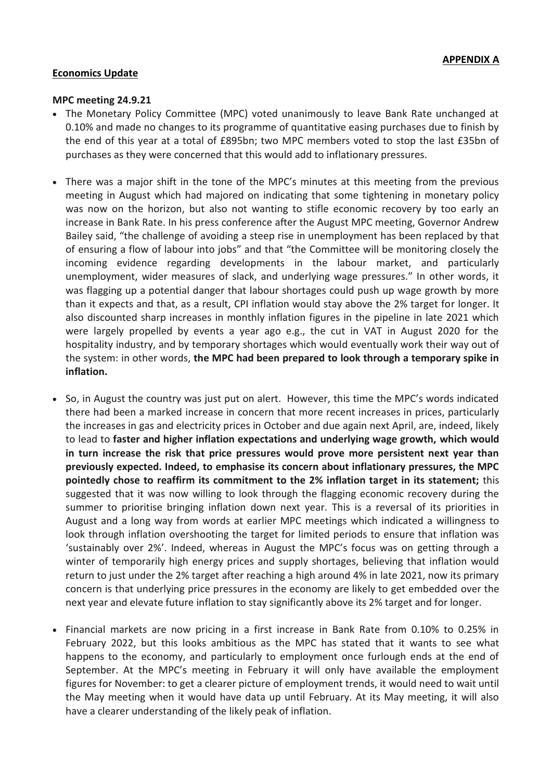### **Economics Update**

#### **MPC meeting 24.9.21**

- The Monetary Policy Committee (MPC) voted unanimously to leave Bank Rate unchanged at 0.10% and made no changes to its programme of quantitative easing purchases due to finish by the end of this year at a total of £895bn; two MPC members voted to stop the last £35bn of purchases as they were concerned that this would add to inflationary pressures.
- There was a major shift in the tone of the MPC's minutes at this meeting from the previous meeting in August which had majored on indicating that some tightening in monetary policy was now on the horizon, but also not wanting to stifle economic recovery by too early an increase in Bank Rate. In his press conference after the August MPC meeting, Governor Andrew Bailey said, "the challenge of avoiding a steep rise in unemployment has been replaced by that of ensuring a flow of labour into jobs" and that "the Committee will be monitoring closely the incoming evidence regarding developments in the labour market, and particularly unemployment, wider measures of slack, and underlying wage pressures." In other words, it was flagging up a potential danger that labour shortages could push up wage growth by more than it expects and that, as a result, CPI inflation would stay above the 2% target for longer. It also discounted sharp increases in monthly inflation figures in the pipeline in late 2021 which were largely propelled by events a year ago e.g., the cut in VAT in August 2020 for the hospitality industry, and by temporary shortages which would eventually work their way out of the system: in other words, **the MPC had been prepared to look through a temporary spike in inflation.**
- So, in August the country was just put on alert. However, this time the MPC's words indicated there had been a marked increase in concern that more recent increases in prices, particularly the increases in gas and electricity prices in October and due again next April, are, indeed, likely to lead to **faster and higher inflation expectations and underlying wage growth, which would in turn increase the risk that price pressures would prove more persistent next year than previously expected. Indeed, to emphasise its concern about inflationary pressures, the MPC pointedly chose to reaffirm its commitment to the 2% inflation target in its statement;** this suggested that it was now willing to look through the flagging economic recovery during the summer to prioritise bringing inflation down next year. This is a reversal of its priorities in August and a long way from words at earlier MPC meetings which indicated a willingness to look through inflation overshooting the target for limited periods to ensure that inflation was 'sustainably over 2%'. Indeed, whereas in August the MPC's focus was on getting through a winter of temporarily high energy prices and supply shortages, believing that inflation would return to just under the 2% target after reaching a high around 4% in late 2021, now its primary concern is that underlying price pressures in the economy are likely to get embedded over the next year and elevate future inflation to stay significantly above its 2% target and for longer.
- Financial markets are now pricing in a first increase in Bank Rate from 0.10% to 0.25% in February 2022, but this looks ambitious as the MPC has stated that it wants to see what happens to the economy, and particularly to employment once furlough ends at the end of September. At the MPC's meeting in February it will only have available the employment figures for November: to get a clearer picture of employment trends, it would need to wait until the May meeting when it would have data up until February. At its May meeting, it will also have a clearer understanding of the likely peak of inflation.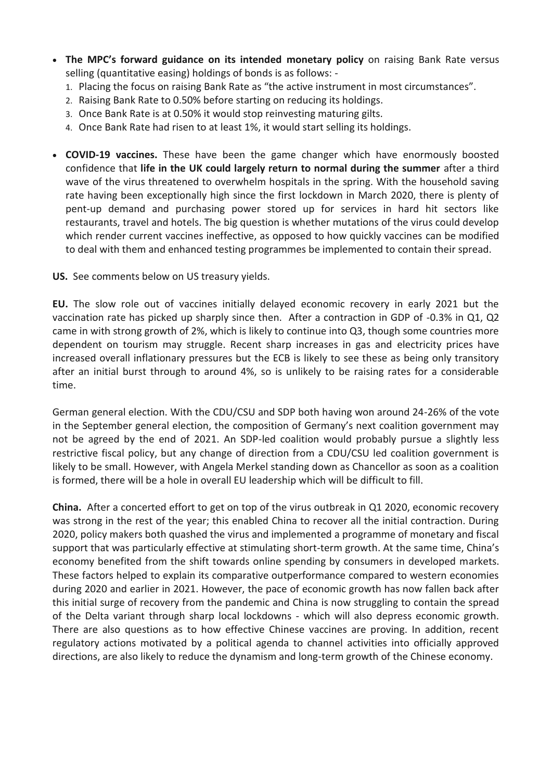- **The MPC's forward guidance on its intended monetary policy** on raising Bank Rate versus selling (quantitative easing) holdings of bonds is as follows: -
	- 1. Placing the focus on raising Bank Rate as "the active instrument in most circumstances".
	- 2. Raising Bank Rate to 0.50% before starting on reducing its holdings.
	- 3. Once Bank Rate is at 0.50% it would stop reinvesting maturing gilts.
	- 4. Once Bank Rate had risen to at least 1%, it would start selling its holdings.
- **COVID-19 vaccines.** These have been the game changer which have enormously boosted confidence that **life in the UK could largely return to normal during the summer** after a third wave of the virus threatened to overwhelm hospitals in the spring. With the household saving rate having been exceptionally high since the first lockdown in March 2020, there is plenty of pent-up demand and purchasing power stored up for services in hard hit sectors like restaurants, travel and hotels. The big question is whether mutations of the virus could develop which render current vaccines ineffective, as opposed to how quickly vaccines can be modified to deal with them and enhanced testing programmes be implemented to contain their spread.

**US.** See comments below on US treasury yields.

**EU.** The slow role out of vaccines initially delayed economic recovery in early 2021 but the vaccination rate has picked up sharply since then. After a contraction in GDP of -0.3% in Q1, Q2 came in with strong growth of 2%, which is likely to continue into Q3, though some countries more dependent on tourism may struggle. Recent sharp increases in gas and electricity prices have increased overall inflationary pressures but the ECB is likely to see these as being only transitory after an initial burst through to around 4%, so is unlikely to be raising rates for a considerable time.

German general election. With the CDU/CSU and SDP both having won around 24-26% of the vote in the September general election, the composition of Germany's next coalition government may not be agreed by the end of 2021. An SDP-led coalition would probably pursue a slightly less restrictive fiscal policy, but any change of direction from a CDU/CSU led coalition government is likely to be small. However, with Angela Merkel standing down as Chancellor as soon as a coalition is formed, there will be a hole in overall EU leadership which will be difficult to fill.

**China.** After a concerted effort to get on top of the virus outbreak in Q1 2020, economic recovery was strong in the rest of the year; this enabled China to recover all the initial contraction. During 2020, policy makers both quashed the virus and implemented a programme of monetary and fiscal support that was particularly effective at stimulating short-term growth. At the same time, China's economy benefited from the shift towards online spending by consumers in developed markets. These factors helped to explain its comparative outperformance compared to western economies during 2020 and earlier in 2021. However, the pace of economic growth has now fallen back after this initial surge of recovery from the pandemic and China is now struggling to contain the spread of the Delta variant through sharp local lockdowns - which will also depress economic growth. There are also questions as to how effective Chinese vaccines are proving. In addition, recent regulatory actions motivated by a political agenda to channel activities into officially approved directions, are also likely to reduce the dynamism and long-term growth of the Chinese economy.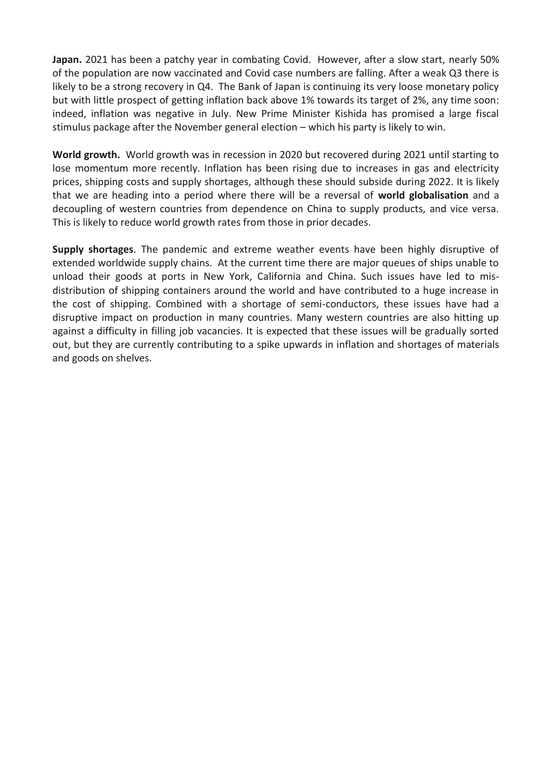**Japan.** 2021 has been a patchy year in combating Covid. However, after a slow start, nearly 50% of the population are now vaccinated and Covid case numbers are falling. After a weak Q3 there is likely to be a strong recovery in Q4. The Bank of Japan is continuing its very loose monetary policy but with little prospect of getting inflation back above 1% towards its target of 2%, any time soon: indeed, inflation was negative in July. New Prime Minister Kishida has promised a large fiscal stimulus package after the November general election – which his party is likely to win.

**World growth.** World growth was in recession in 2020 but recovered during 2021 until starting to lose momentum more recently. Inflation has been rising due to increases in gas and electricity prices, shipping costs and supply shortages, although these should subside during 2022. It is likely that we are heading into a period where there will be a reversal of **world globalisation** and a decoupling of western countries from dependence on China to supply products, and vice versa. This is likely to reduce world growth rates from those in prior decades.

**Supply shortages**. The pandemic and extreme weather events have been highly disruptive of extended worldwide supply chains. At the current time there are major queues of ships unable to unload their goods at ports in New York, California and China. Such issues have led to misdistribution of shipping containers around the world and have contributed to a huge increase in the cost of shipping. Combined with a shortage of semi-conductors, these issues have had a disruptive impact on production in many countries. Many western countries are also hitting up against a difficulty in filling job vacancies. It is expected that these issues will be gradually sorted out, but they are currently contributing to a spike upwards in inflation and shortages of materials and goods on shelves.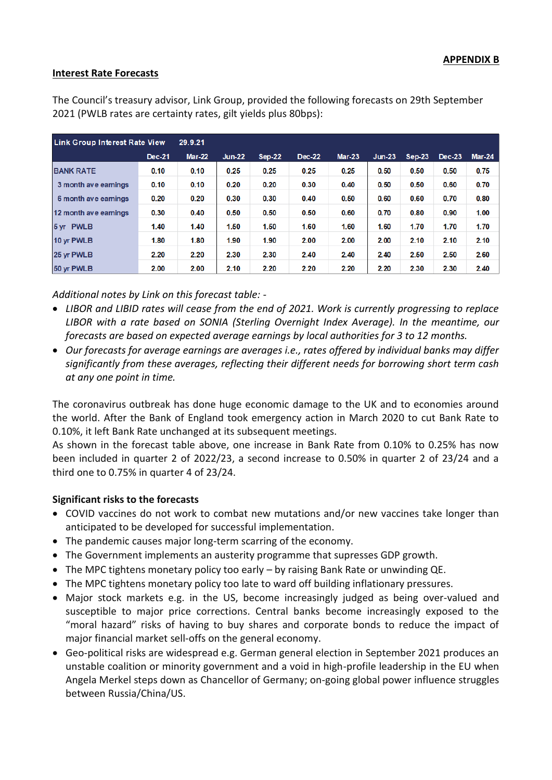### **Interest Rate Forecasts**

| <b>Link Group Interest Rate View</b> | 29.9.21       |               |               |          |        |          |          |          |          |        |
|--------------------------------------|---------------|---------------|---------------|----------|--------|----------|----------|----------|----------|--------|
|                                      | <b>Dec-21</b> | <b>Mar-22</b> | <b>Jun-22</b> | $Sep-22$ | Dec-22 | $Mar-23$ | $Jun-23$ | $Sep-23$ | $Dec-23$ | Mar-24 |
| <b>BANK RATE</b>                     | 0.10          | 0.10          | 0.25          | 0.25     | 0.25   | 0.25     | 0.50     | 0.50     | 0.50     | 0.75   |
| 3 month ave earnings                 | 0.10          | 0.10          | 0.20          | 0.20     | 0.30   | 0.40     | 0.50     | 0.50     | 0.60     | 0.70   |
| 6 month ave earnings                 | 0.20          | 0.20          | 0.30          | 0.30     | 0.40   | 0.50     | 0.60     | 0.60     | 0.70     | 0.80   |
| 12 month ave earnings                | 0.30          | 0.40          | 0.50          | 0.50     | 0.50   | 0.60     | 0.70     | 0.80     | 0.90     | 1.00   |
| 5 yr PWLB                            | 1.40          | 1.40          | 1.50          | 1.50     | 1.60   | 1.60     | 1.60     | 1.70     | 1.70     | 1.70   |
| 10 yr PWLB                           | 1.80          | 1.80          | 1.90          | 1.90     | 2.00   | 2.00     | 2.00     | 2.10     | 2.10     | 2.10   |
| 25 yr PWLB                           | 2.20          | 2.20          | 2.30          | 2.30     | 2.40   | 2.40     | 2.40     | 2.50     | 2.50     | 2.60   |
| 50 yr PWLB                           | 2.00          | 2.00          | 2.10          | 2.20     | 2.20   | 2.20     | 2.20     | 2.30     | 2.30     | 2.40   |

The Council's treasury advisor, Link Group, provided the following forecasts on 29th September 2021 (PWLB rates are certainty rates, gilt yields plus 80bps):

*Additional notes by Link on this forecast table: -*

- *LIBOR and LIBID rates will cease from the end of 2021. Work is currently progressing to replace LIBOR with a rate based on SONIA (Sterling Overnight Index Average). In the meantime, our forecasts are based on expected average earnings by local authorities for 3 to 12 months.*
- *Our forecasts for average earnings are averages i.e., rates offered by individual banks may differ significantly from these averages, reflecting their different needs for borrowing short term cash at any one point in time.*

The coronavirus outbreak has done huge economic damage to the UK and to economies around the world. After the Bank of England took emergency action in March 2020 to cut Bank Rate to 0.10%, it left Bank Rate unchanged at its subsequent meetings.

As shown in the forecast table above, one increase in Bank Rate from 0.10% to 0.25% has now been included in quarter 2 of 2022/23, a second increase to 0.50% in quarter 2 of 23/24 and a third one to 0.75% in quarter 4 of 23/24.

### **Significant risks to the forecasts**

- COVID vaccines do not work to combat new mutations and/or new vaccines take longer than anticipated to be developed for successful implementation.
- The pandemic causes major long-term scarring of the economy.
- The Government implements an austerity programme that supresses GDP growth.
- The MPC tightens monetary policy too early by raising Bank Rate or unwinding QE.
- The MPC tightens monetary policy too late to ward off building inflationary pressures.
- Major stock markets e.g. in the US, become increasingly judged as being over-valued and susceptible to major price corrections. Central banks become increasingly exposed to the "moral hazard" risks of having to buy shares and corporate bonds to reduce the impact of major financial market sell-offs on the general economy.
- Geo-political risks are widespread e.g. German general election in September 2021 produces an unstable coalition or minority government and a void in high-profile leadership in the EU when Angela Merkel steps down as Chancellor of Germany; on-going global power influence struggles between Russia/China/US.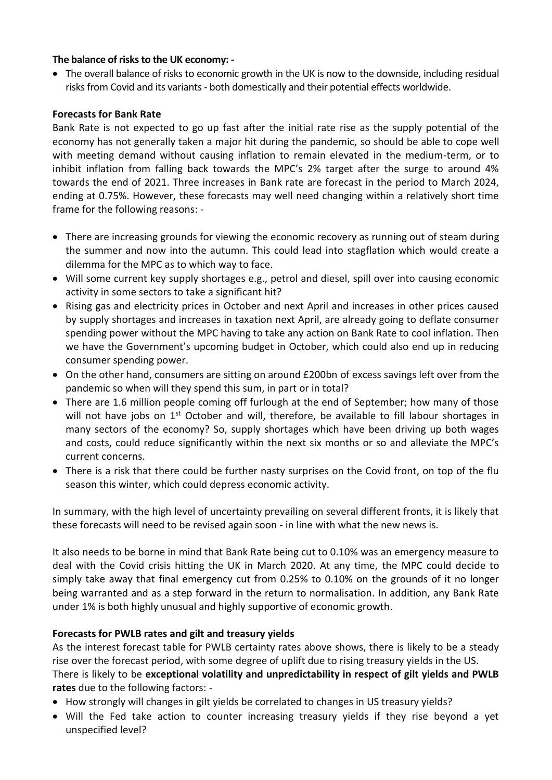### **The balance of risks to the UK economy: -**

• The overall balance of risks to economic growth in the UK is now to the downside, including residual risks from Covid and its variants - both domestically and their potential effects worldwide.

### **Forecasts for Bank Rate**

Bank Rate is not expected to go up fast after the initial rate rise as the supply potential of the economy has not generally taken a major hit during the pandemic, so should be able to cope well with meeting demand without causing inflation to remain elevated in the medium-term, or to inhibit inflation from falling back towards the MPC's 2% target after the surge to around 4% towards the end of 2021. Three increases in Bank rate are forecast in the period to March 2024, ending at 0.75%. However, these forecasts may well need changing within a relatively short time frame for the following reasons: -

- There are increasing grounds for viewing the economic recovery as running out of steam during the summer and now into the autumn. This could lead into stagflation which would create a dilemma for the MPC as to which way to face.
- Will some current key supply shortages e.g., petrol and diesel, spill over into causing economic activity in some sectors to take a significant hit?
- Rising gas and electricity prices in October and next April and increases in other prices caused by supply shortages and increases in taxation next April, are already going to deflate consumer spending power without the MPC having to take any action on Bank Rate to cool inflation. Then we have the Government's upcoming budget in October, which could also end up in reducing consumer spending power.
- On the other hand, consumers are sitting on around £200bn of excess savings left over from the pandemic so when will they spend this sum, in part or in total?
- There are 1.6 million people coming off furlough at the end of September; how many of those will not have jobs on 1<sup>st</sup> October and will, therefore, be available to fill labour shortages in many sectors of the economy? So, supply shortages which have been driving up both wages and costs, could reduce significantly within the next six months or so and alleviate the MPC's current concerns.
- There is a risk that there could be further nasty surprises on the Covid front, on top of the flu season this winter, which could depress economic activity.

In summary, with the high level of uncertainty prevailing on several different fronts, it is likely that these forecasts will need to be revised again soon - in line with what the new news is.

It also needs to be borne in mind that Bank Rate being cut to 0.10% was an emergency measure to deal with the Covid crisis hitting the UK in March 2020. At any time, the MPC could decide to simply take away that final emergency cut from 0.25% to 0.10% on the grounds of it no longer being warranted and as a step forward in the return to normalisation. In addition, any Bank Rate under 1% is both highly unusual and highly supportive of economic growth.

# **Forecasts for PWLB rates and gilt and treasury yields**

As the interest forecast table for PWLB certainty rates above shows, there is likely to be a steady rise over the forecast period, with some degree of uplift due to rising treasury yields in the US. There is likely to be **exceptional volatility and unpredictability in respect of gilt yields and PWLB rates** due to the following factors: -

- How strongly will changes in gilt yields be correlated to changes in US treasury yields?
- Will the Fed take action to counter increasing treasury yields if they rise beyond a yet unspecified level?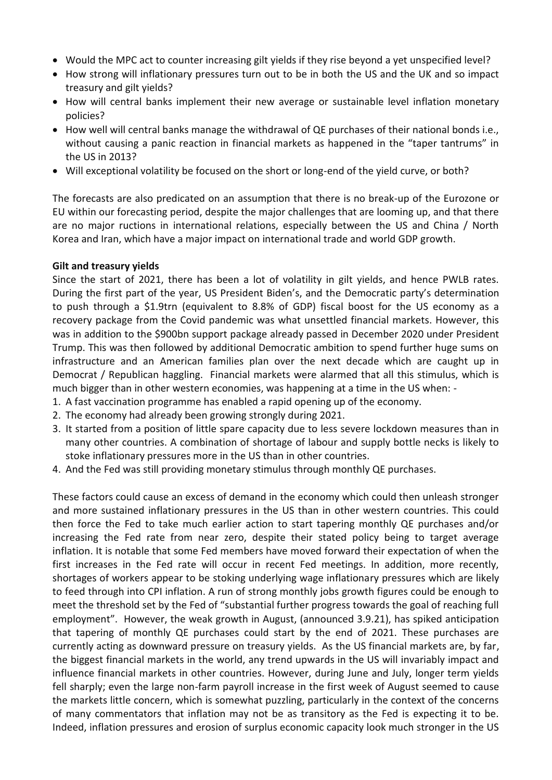- Would the MPC act to counter increasing gilt yields if they rise beyond a yet unspecified level?
- How strong will inflationary pressures turn out to be in both the US and the UK and so impact treasury and gilt yields?
- How will central banks implement their new average or sustainable level inflation monetary policies?
- How well will central banks manage the withdrawal of QE purchases of their national bonds i.e., without causing a panic reaction in financial markets as happened in the "taper tantrums" in the US in 2013?
- Will exceptional volatility be focused on the short or long-end of the yield curve, or both?

The forecasts are also predicated on an assumption that there is no break-up of the Eurozone or EU within our forecasting period, despite the major challenges that are looming up, and that there are no major ructions in international relations, especially between the US and China / North Korea and Iran, which have a major impact on international trade and world GDP growth.

### **Gilt and treasury yields**

Since the start of 2021, there has been a lot of volatility in gilt yields, and hence PWLB rates. During the first part of the year, US President Biden's, and the Democratic party's determination to push through a \$1.9trn (equivalent to 8.8% of GDP) fiscal boost for the US economy as a recovery package from the Covid pandemic was what unsettled financial markets. However, this was in addition to the \$900bn support package already passed in December 2020 under President Trump. This was then followed by additional Democratic ambition to spend further huge sums on infrastructure and an American families plan over the next decade which are caught up in Democrat / Republican haggling. Financial markets were alarmed that all this stimulus, which is much bigger than in other western economies, was happening at a time in the US when: -

- 1. A fast vaccination programme has enabled a rapid opening up of the economy.
- 2. The economy had already been growing strongly during 2021.
- 3. It started from a position of little spare capacity due to less severe lockdown measures than in many other countries. A combination of shortage of labour and supply bottle necks is likely to stoke inflationary pressures more in the US than in other countries.
- 4. And the Fed was still providing monetary stimulus through monthly QE purchases.

These factors could cause an excess of demand in the economy which could then unleash stronger and more sustained inflationary pressures in the US than in other western countries. This could then force the Fed to take much earlier action to start tapering monthly QE purchases and/or increasing the Fed rate from near zero, despite their stated policy being to target average inflation. It is notable that some Fed members have moved forward their expectation of when the first increases in the Fed rate will occur in recent Fed meetings. In addition, more recently, shortages of workers appear to be stoking underlying wage inflationary pressures which are likely to feed through into CPI inflation. A run of strong monthly jobs growth figures could be enough to meet the threshold set by the Fed of "substantial further progress towards the goal of reaching full employment". However, the weak growth in August, (announced 3.9.21), has spiked anticipation that tapering of monthly QE purchases could start by the end of 2021. These purchases are currently acting as downward pressure on treasury yields. As the US financial markets are, by far, the biggest financial markets in the world, any trend upwards in the US will invariably impact and influence financial markets in other countries. However, during June and July, longer term yields fell sharply; even the large non-farm payroll increase in the first week of August seemed to cause the markets little concern, which is somewhat puzzling, particularly in the context of the concerns of many commentators that inflation may not be as transitory as the Fed is expecting it to be. Indeed, inflation pressures and erosion of surplus economic capacity look much stronger in the US